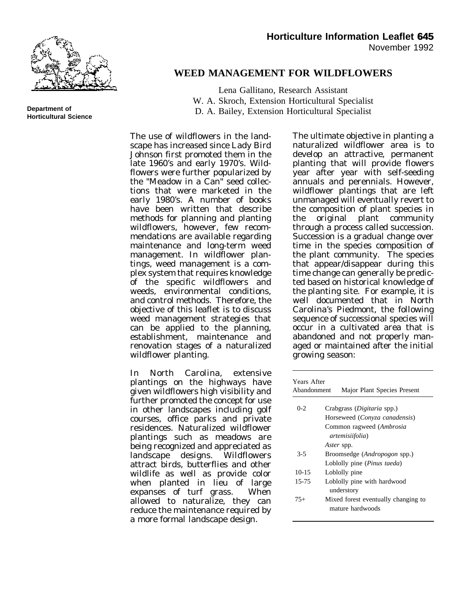

**Department of Horticultural Science**

### **WEED MANAGEMENT FOR WILDFLOWERS**

Lena Gallitano, Research Assistant W. A. Skroch, Extension Horticultural Specialist D. A. Bailey, Extension Horticultural Specialist

The use of wildflowers in the landscape has increased since Lady Bird Johnson first promoted them in the late 1960's and early 1970's. Wildflowers were further popularized by the "Meadow in a Can" seed collections that were marketed in the early 1980's. A number of books have been written that describe methods for planning and planting wildflowers, however, few recommendations are available regarding maintenance and long-term weed management. In wildflower plantings, weed management is a complex system that requires knowledge of the specific wildflowers and weeds, environmental conditions, and control methods. Therefore, the objective of this leaflet is to discuss weed management strategies that can be applied to the planning, establishment, maintenance and renovation stages of a naturalized wildflower planting.

In North Carolina, extensive plantings on the highways have given wildflowers high visibility and further promoted the concept for use in other landscapes including golf courses, office parks and private residences. Naturalized wildflower plantings such as meadows are being recognized and appreciated as<br>landscape designs. Wildflowers  $land \overline{\text{scape}}$  designs. attract birds, butterflies and other wildlife as well as provide color when planted in lieu of large expanses of turf grass. When allowed to naturalize, they can reduce the maintenance required by a more formal landscape design.

The ultimate objective in planting a naturalized wildflower area is to develop an attractive, permanent planting that will provide flowers year after year with self-seeding annuals and perennials. However, wildflower plantings that are left unmanaged will eventually revert to the composition of plant species in the original plant community through a process called succession. Succession is a gradual change over time in the species composition of the plant community. The species that appear/disappear during this time change can generally be predicted based on historical knowledge of the planting site. For example, it is well documented that in North Carolina's Piedmont, the following sequence of successional species will occur in a cultivated area that is abandoned and not properly managed or maintained after the initial growing season:

| Years After<br>Abandonment<br>Major Plant Species Present |                                                         |
|-----------------------------------------------------------|---------------------------------------------------------|
| $0 - 2$                                                   | Crabgrass ( <i>Digitaria</i> spp.)                      |
|                                                           | Horseweed (Conyza canadensis)                           |
|                                                           | Common ragweed (Ambrosia                                |
|                                                           | <i>artemisiifolia</i> )                                 |
|                                                           | <i>Aster</i> spp.                                       |
| $3-5$                                                     | Broomsedge ( <i>Andropogon</i> spp.)                    |
|                                                           | Loblolly pine ( <i>Pinus taeda</i> )                    |
| $10-15$                                                   | Loblolly pine                                           |
| 15-75                                                     | Loblolly pine with hardwood<br>understory               |
| $75+$                                                     | Mixed forest eventually changing to<br>mature hardwoods |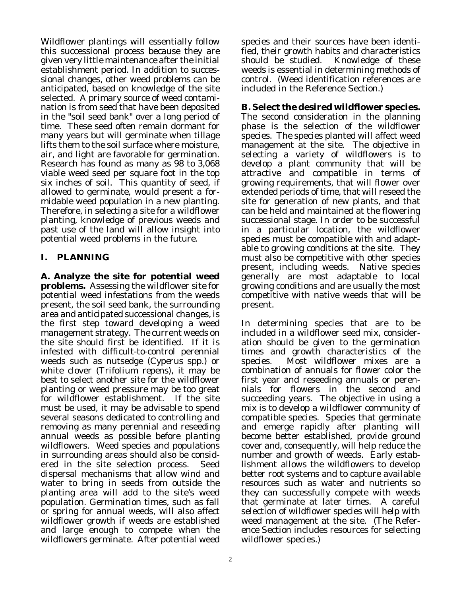Wildflower plantings will essentially follow this successional process because they are given very little maintenance after the initial establishment period. In addition to successional changes, other weed problems can be anticipated, based on knowledge of the site selected. A primary source of weed contamination is from seed that have been deposited in the "soil seed bank" over a long period of time. These seed often remain dormant for many years but will germinate when tillage lifts them to the soil surface where moisture, air, and light are favorable for germination. Research has found as many as 98 to 3,068 viable weed seed per square foot in the top six inches of soil. This quantity of seed, if allowed to germinate, would present a formidable weed population in a new planting. Therefore, in selecting a site for a wildflower planting, knowledge of previous weeds and past use of the land will allow insight into potential weed problems in the future.

# **I. PLANNING**

**A. Analyze the site for potential weed problems.** Assessing the wildflower site for potential weed infestations from the weeds present, the soil seed bank, the surrounding area and anticipated successional changes, is the first step toward developing a weed management strategy. The current weeds on the site should first be identified. If it is infested with difficult-to-control perennial weeds such as nutsedge (*Cyperus* spp.) or white clover (*Trifolium repens*), it may be best to select another site for the wildflower planting or weed pressure may be too great for wildflower establishment. If the site must be used, it may be advisable to spend several seasons dedicated to controlling and removing as many perennial and reseeding annual weeds as possible before planting wildflowers. Weed species and populations in surrounding areas should also be considered in the site selection process. Seed dispersal mechanisms that allow wind and water to bring in seeds from outside the planting area will add to the site's weed population. Germination times, such as fall or spring for annual weeds, will also affect wildflower growth if weeds are established and large enough to compete when the wildflowers germinate. After potential weed

species and their sources have been identified, their growth habits and characteristics should be studied. Knowledge of these weeds is essential in determining methods of control. (Weed identification references are included in the Reference Section.)

**B. Select the desired wildflower species.** The second consideration in the planning phase is the selection of the wildflower species. The species planted will affect weed management at the site. The objective in selecting a variety of wildflowers is to develop a plant community that will be attractive and compatible in terms of growing requirements, that will flower over extended periods of time, that will reseed the site for generation of new plants, and that can be held and maintained at the flowering successional stage. In order to be successful in a particular location, the wildflower species must be compatible with and adaptable to growing conditions at the site. They must also be competitive with other species present, including weeds. Native species generally are most adaptable to local growing conditions and are usually the most competitive with native weeds that will be present.

In determining species that are to be included in a wildflower seed mix, consideration should be given to the germination times and growth characteristics of the species. Most wildflower mixes are a combination of annuals for flower color the first year and reseeding annuals or perennials for flowers in the second and succeeding years. The objective in using a mix is to develop a wildflower community of compatible species. Species that germinate and emerge rapidly after planting will become better established, provide ground cover and, consequently, will help reduce the number and growth of weeds. Early establishment allows the wildflowers to develop better root systems and to capture available resources such as water and nutrients so they can successfully compete with weeds that germinate at later times. A careful selection of wildflower species will help with weed management at the site. (The Reference Section includes resources for selecting wildflower species.)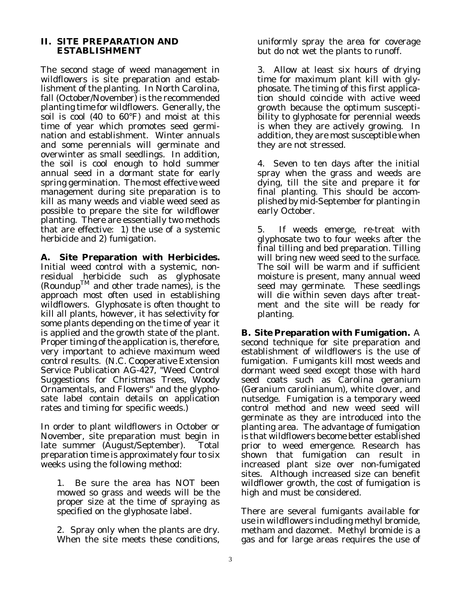### **II. SITE PREPARATION AND ESTABLISHMENT**

The second stage of weed management in wildflowers is site preparation and establishment of the planting. In North Carolina, fall (October/November) is the recommended planting time for wildflowers. Generally, the soil is cool (40 to 60°F) and moist at this time of year which promotes seed germination and establishment. Winter annuals and some perennials will germinate and overwinter as small seedlings. In addition, the soil is cool enough to hold summer annual seed in a dormant state for early spring germination. The most effective weed management during site preparation is to kill as many weeds and viable weed seed as possible to prepare the site for wildflower planting. There are essentially two methods that are effective: 1) the use of a systemic herbicide and 2) fumigation.

**A. Site Preparation with Herbicides.** Initial weed control with a systemic, nonresidual herbicide such as glyphosate (Roundup<sup>TM</sup> and other trade names), is the approach most often used in establishing wildflowers. Glyphosate is often thought to kill all plants, however, it has selectivity for some plants depending on the time of year it is applied and the growth state of the plant. Proper timing of the application is, therefore, very important to achieve maximum weed control results. (N.C. Cooperative Extension Service Publication AG-427, "Weed Control Suggestions for Christmas Trees, Woody Ornamentals, and Flowers" and the glyphosate label contain details on application rates and timing for specific weeds.)

In order to plant wildflowers in October or November, site preparation must begin in late summer (August/September). Total preparation time is approximately four to six weeks using the following method:

1. Be sure the area has NOT been mowed so grass and weeds will be the proper size at the time of spraying as specified on the glyphosate label.

2. Spray only when the plants are dry. When the site meets these conditions,

uniformly spray the area for coverage but do not wet the plants to runoff.

3. Allow at least six hours of drying time for maximum plant kill with glyphosate. The timing of this first application should coincide with active weed growth because the optimum susceptibility to glyphosate for perennial weeds is when they are actively growing. In addition, they are most susceptible when they are not stressed.

4. Seven to ten days after the initial spray when the grass and weeds are dying, till the site and prepare it for final planting. This should be accomplished by mid-September for planting in early October.

5. If weeds emerge, re-treat with glyphosate two to four weeks after the final tilling and bed preparation. Tilling will bring new weed seed to the surface. The soil will be warm and if sufficient moisture is present, many annual weed seed may germinate. These seedlings will die within seven days after treatment and the site will be ready for planting.

**B. Site Preparation with Fumigation.** A second technique for site preparation and establishment of wildflowers is the use of fumigation. Fumigants kill most weeds and dormant weed seed except those with hard seed coats such as Carolina geranium (*Geranium carolinianum*), white clover, and nutsedge. Fumigation is a temporary weed control method and new weed seed will germinate as they are introduced into the planting area. The advantage of fumigation is that wildflowers become better established prior to weed emergence. Research has shown that fumigation can result in increased plant size over non-fumigated sites. Although increased size can benefit wildflower growth, the cost of fumigation is high and must be considered.

There are several fumigants available for use in wildflowers including methyl bromide, metham and dazomet. Methyl bromide is a gas and for large areas requires the use of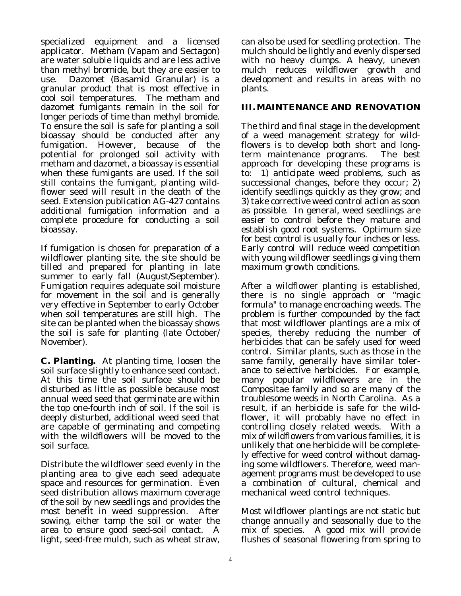specialized equipment and a licensed applicator. Metham (Vapam and Sectagon) are water soluble liquids and are less active than methyl bromide, but they are easier to use. Dazomet (Basamid Granular) is a granular product that is most effective in cool soil temperatures. The metham and dazomet fumigants remain in the soil for longer periods of time than methyl bromide. To ensure the soil is safe for planting a soil bioassay should be conducted after any fumigation. However, because of the potential for prolonged soil activity with metham and dazomet, a bioassay is essential when these fumigants are used. If the soil still contains the fumigant, planting wildflower seed will result in the death of the seed. Extension publication AG-427 contains additional fumigation information and a complete procedure for conducting a soil bioassay.

If fumigation is chosen for preparation of a wildflower planting site, the site should be tilled and prepared for planting in late summer to early fall (August/September). Fumigation requires adequate soil moisture for movement in the soil and is generally very effective in September to early October when soil temperatures are still high. The site can be planted when the bioassay shows the soil is safe for planting (late October/ November).

**C. Planting.** At planting time, loosen the soil surface slightly to enhance seed contact. At this time the soil surface should be disturbed as little as possible because most annual weed seed that germinate are within the top one-fourth inch of soil. If the soil is deeply disturbed, additional weed seed that are capable of germinating and competing with the wildflowers will be moved to the soil surface.

Distribute the wildflower seed evenly in the planting area to give each seed adequate space and resources for germination. Even seed distribution allows maximum coverage of the soil by new seedlings and provides the most benefit in weed suppression. After sowing, either tamp the soil or water the area to ensure good seed-soil contact. A light, seed-free mulch, such as wheat straw,

can also be used for seedling protection. The mulch should be lightly and evenly dispersed with no heavy clumps. A heavy, uneven mulch reduces wildflower growth and development and results in areas with no plants.

## **III. MAINTENANCE AND RENOVATION**

The third and final stage in the development of a weed management strategy for wildflowers is to develop both short and longterm maintenance programs. The best approach for developing these programs is to: 1) anticipate weed problems, such as successional changes, before they occur; 2) identify seedlings quickly as they grow; and 3) take corrective weed control action as soon as possible. In general, weed seedlings are easier to control before they mature and establish good root systems. Optimum size for best control is usually four inches or less. Early control will reduce weed competition with young wildflower seedlings giving them maximum growth conditions.

After a wildflower planting is established, there is no single approach or "magic formula" to manage encroaching weeds. The problem is further compounded by the fact that most wildflower plantings are a mix of species, thereby reducing the number of herbicides that can be safely used for weed control. Similar plants, such as those in the same family, generally have similar tolerance to selective herbicides. For example, many popular wildflowers are in the Compositae family and so are many of the troublesome weeds in North Carolina. As a result, if an herbicide is safe for the wildflower, it will probably have no effect in controlling closely related weeds. With a mix of wildflowers from various families, it is unlikely that one herbicide will be completely effective for weed control without damaging some wildflowers. Therefore, weed management programs must be developed to use a combination of cultural, chemical and mechanical weed control techniques.

Most wildflower plantings are not static but change annually and seasonally due to the mix of species. A good mix will provide flushes of seasonal flowering from spring to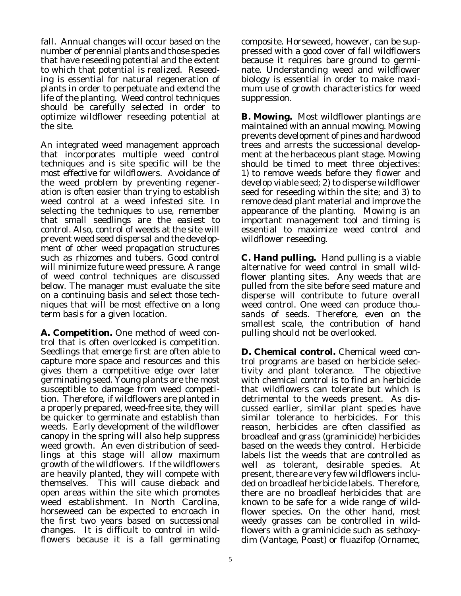fall. Annual changes will occur based on the number of perennial plants and those species that have reseeding potential and the extent to which that potential is realized. Reseeding is essential for natural regeneration of plants in order to perpetuate and extend the life of the planting. Weed control techniques should be carefully selected in order to optimize wildflower reseeding potential at the site.

An integrated weed management approach that incorporates multiple weed control techniques and is site specific will be the most effective for wildflowers. Avoidance of the weed problem by preventing regeneration is often easier than trying to establish weed control at a weed infested site. In selecting the techniques to use, remember that small seedlings are the easiest to control. Also, control of weeds at the site will prevent weed seed dispersal and the development of other weed propagation structures such as rhizomes and tubers. Good control will minimize future weed pressure. A range of weed control techniques are discussed below. The manager must evaluate the site on a continuing basis and select those techniques that will be most effective on a long term basis for a given location.

**A. Competition.** One method of weed control that is often overlooked is competition. Seedlings that emerge first are often able to capture more space and resources and this gives them a competitive edge over later germinating seed. Young plants are the most susceptible to damage from weed competition. Therefore, if wildflowers are planted in a properly prepared, weed-free site, they will be quicker to germinate and establish than weeds. Early development of the wildflower canopy in the spring will also help suppress weed growth. An even distribution of seedlings at this stage will allow maximum growth of the wildflowers. If the wildflowers are heavily planted, they will compete with themselves. This will cause dieback and open areas within the site which promotes weed establishment. In North Carolina, horseweed can be expected to encroach in the first two years based on successional changes. It is difficult to control in wildflowers because it is a fall germinating composite. Horseweed, however, can be suppressed with a good cover of fall wildflowers because it requires bare ground to germinate. Understanding weed and wildflower biology is essential in order to make maximum use of growth characteristics for weed suppression.

**B. Mowing.** Most wildflower plantings are maintained with an annual mowing. Mowing prevents development of pines and hardwood trees and arrests the successional development at the herbaceous plant stage. Mowing should be timed to meet three objectives: 1) to remove weeds before they flower and develop viable seed; 2) to disperse wildflower seed for reseeding within the site; and 3) to remove dead plant material and improve the appearance of the planting. Mowing is an important management tool and timing is essential to maximize weed control and wildflower reseeding.

**C. Hand pulling.** Hand pulling is a viable alternative for weed control in small wildflower planting sites. Any weeds that are pulled from the site before seed mature and disperse will contribute to future overall weed control. One weed can produce thousands of seeds. Therefore, even on the smallest scale, the contribution of hand pulling should not be overlooked.

**D. Chemical control.** Chemical weed control programs are based on herbicide selectivity and plant tolerance. The objective with chemical control is to find an herbicide that wildflowers can tolerate but which is detrimental to the weeds present. As discussed earlier, similar plant species have similar tolerance to herbicides. For this reason, herbicides are often classified as broadleaf and grass (graminicide) herbicides based on the weeds they control. Herbicide labels list the weeds that are controlled as well as tolerant, desirable species. At present, there are very few wildflowers included on broadleaf herbicide labels. Therefore, there are no broadleaf herbicides that are known to be safe for a wide range of wildflower species. On the other hand, most weedy grasses can be controlled in wildflowers with a graminicide such as sethoxydim (Vantage, Poast) or fluazifop (Ornamec,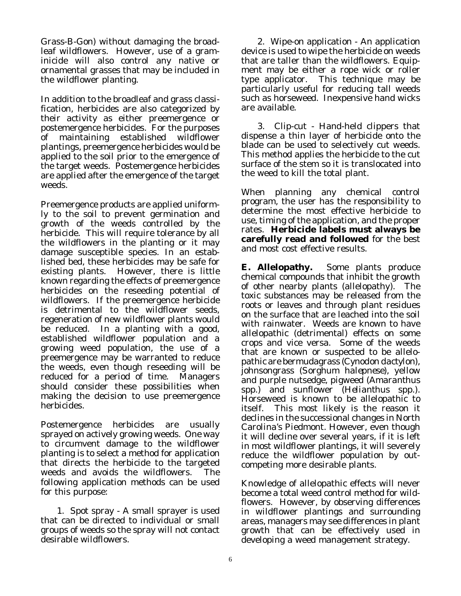Grass-B-Gon) without damaging the broadleaf wildflowers. However, use of a graminicide will also control any native or ornamental grasses that may be included in the wildflower planting.

In addition to the broadleaf and grass classification, herbicides are also categorized by their activity as either preemergence or postemergence herbicides. For the purposes of maintaining established wildflower plantings, preemergence herbicides would be applied to the soil prior to the emergence of the target weeds. Postemergence herbicides are applied after the emergence of the target weeds.

Preemergence products are applied uniformly to the soil to prevent germination and growth of the weeds controlled by the herbicide. This will require tolerance by all the wildflowers in the planting or it may damage susceptible species. In an established bed, these herbicides may be safe for existing plants. However, there is little known regarding the effects of preemergence herbicides on the reseeding potential of wildflowers. If the preemergence herbicide is detrimental to the wildflower seeds, regeneration of new wildflower plants would be reduced. In a planting with a good, established wildflower population and a growing weed population, the use of a preemergence may be warranted to reduce the weeds, even though reseeding will be reduced for a period of time. Managers should consider these possibilities when making the decision to use preemergence herbicides.

Postemergence herbicides are usually sprayed on actively growing weeds. One way to circumvent damage to the wildflower planting is to select a method for application that directs the herbicide to the targeted weeds and avoids the wildflowers. The following application methods can be used for this purpose:

1. Spot spray - A small sprayer is used that can be directed to individual or small groups of weeds so the spray will not contact desirable wildflowers.

2. Wipe-on application - An application device is used to wipe the herbicide on weeds that are taller than the wildflowers. Equipment may be either a rope wick or roller type applicator. This technique may be particularly useful for reducing tall weeds such as horseweed. Inexpensive hand wicks are available.

3. Clip-cut - Hand-held clippers that dispense a thin layer of herbicide onto the blade can be used to selectively cut weeds. This method applies the herbicide to the cut surface of the stem so it is translocated into the weed to kill the total plant.

When planning any chemical control program, the user has the responsibility to determine the most effective herbicide to use, timing of the application, and the proper rates. **Herbicide labels must always be carefully read and followed** for the best and most cost effective results.

**E. Allelopathy.** Some plants produce chemical compounds that inhibit the growth of other nearby plants (allelopathy). The toxic substances may be released from the roots or leaves and through plant residues on the surface that are leached into the soil with rainwater. Weeds are known to have allelopathic (detrimental) effects on some crops and vice versa. Some of the weeds that are known or suspected to be allelopathic are bermudagrass (*Cynodon dactylon*), johnsongrass (*Sorghum halepnese*), yellow and purple nutsedge, pigweed (*Amaranthus* spp.) and sunflower (*Helianthus* spp.). Horseweed is known to be allelopathic to itself. This most likely is the reason it declines in the successional changes in North Carolina's Piedmont. However, even though it will decline over several years, if it is left in most wildflower plantings, it will severely reduce the wildflower population by outcompeting more desirable plants.

Knowledge of allelopathic effects will never become a total weed control method for wildflowers. However, by observing differences in wildflower plantings and surrounding areas, managers may see differences in plant growth that can be effectively used in developing a weed management strategy.